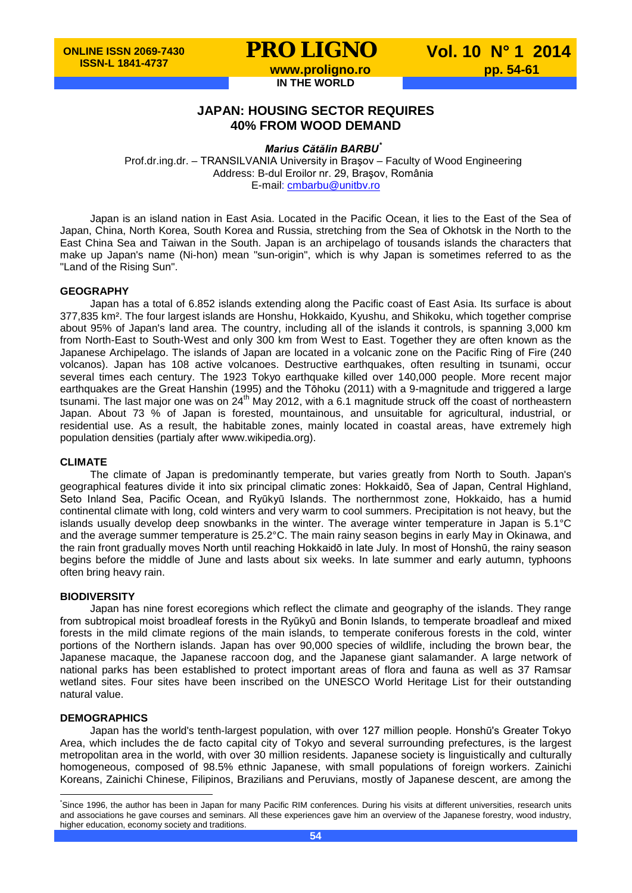**IN THE WORLD**

**PRO LIGNO** Vol. 10 N° 1 2014<br>www.proligno.ro pp. 54-61

## **JAPAN: HOUSING SECTOR REQUIRES**

**40% FROM WOOD DEMAND**

*Marius Cătălin BARBU[\\*](#page-0-0)*

Prof.dr.ing.dr. – TRANSILVANIA University in Braşov – Faculty of Wood Engineering Address: B-dul Eroilor nr. 29, Braşov, România E-mail: [cmbarbu@unitbv.ro](mailto:cmbarbu@unitbv.ro)

Japan is an island nation in East Asia. Located in the Pacific Ocean, it lies to the East of the Sea of Japan, China, North Korea, South Korea and Russia, stretching from the Sea of Okhotsk in the North to the East China Sea and Taiwan in the South. Japan is an archipelago of tousands islands the characters that make up Japan's name (Ni-hon) mean "sun-origin", which is why Japan is sometimes referred to as the "Land of the Rising Sun".

#### **GEOGRAPHY**

Japan has a total of 6.852 islands extending along the Pacific coast of East Asia. Its surface is about 377,835 km². The four largest islands are Honshu, Hokkaido, Kyushu, and Shikoku, which together comprise about 95% of Japan's land area. The country, including all of the islands it controls, is spanning 3,000 km from North-East to South-West and only 300 km from West to East. Together they are often known as the Japanese Archipelago. The islands of Japan are located in a volcanic zone on the Pacific Ring of Fire (240 volcanos). Japan has 108 active volcanoes. Destructive earthquakes, often resulting in tsunami, occur several times each century. The 1923 Tokyo earthquake killed over 140,000 people. More recent major earthquakes are the Great Hanshin (1995) and the Tōhoku (2011) with a 9-magnitude and triggered a large tsunami. The last major one was on 24<sup>th</sup> May 2012, with a 6.1 magnitude struck off the coast of northeastern Japan. About 73 % of Japan is forested, mountainous, and unsuitable for agricultural, industrial, or residential use. As a result, the habitable zones, mainly located in coastal areas, have extremely high population densities (partialy after www.wikipedia.org).

#### **CLIMATE**

The climate of Japan is predominantly temperate, but varies greatly from North to South. Japan's geographical features divide it into six principal climatic zones: Hokkaidō, Sea of Japan, Central Highland, Seto Inland Sea, Pacific Ocean, and Ryūkyū Islands. The northernmost zone, Hokkaido, has a humid continental climate with long, cold winters and very warm to cool summers. Precipitation is not heavy, but the islands usually develop deep snowbanks in the winter. The average winter temperature in Japan is 5.1°C and the average summer temperature is 25.2°C. The main rainy season begins in early May in Okinawa, and the rain front gradually moves North until reaching Hokkaidō in late July. In most of Honshū, the rainy season begins before the middle of June and lasts about six weeks. In late summer and early autumn, typhoons often bring heavy rain.

#### **BIODIVERSITY**

Japan has nine forest ecoregions which reflect the climate and geography of the islands. They range from subtropical moist broadleaf forests in the Ryūkyū and Bonin Islands, to temperate broadleaf and mixed forests in the mild climate regions of the main islands, to temperate coniferous forests in the cold, winter portions of the Northern islands. Japan has over 90,000 species of wildlife, including the brown bear, the Japanese macaque, the Japanese raccoon dog, and the Japanese giant salamander. A large network of national parks has been established to protect important areas of flora and fauna as well as 37 Ramsar wetland sites. Four sites have been inscribed on the UNESCO World Heritage List for their outstanding natural value.

#### **DEMOGRAPHICS**

Japan has the world's tenth-largest population, with over 127 million people. Honshū's Greater Tokyo Area, which includes the de facto capital city of Tokyo and several surrounding prefectures, is the largest metropolitan area in the world, with over 30 million residents. Japanese society is linguistically and culturally homogeneous, composed of 98.5% ethnic Japanese, with small populations of foreign workers. Zainichi Koreans, Zainichi Chinese, Filipinos, Brazilians and Peruvians, mostly of Japanese descent, are among the

<span id="page-0-0"></span>\* Since 1996, the author has been in Japan for many Pacific RIM conferences. During his visits at different universities, research units and associations he gave courses and seminars. All these experiences gave him an overview of the Japanese forestry, wood industry, higher education, economy society and traditions.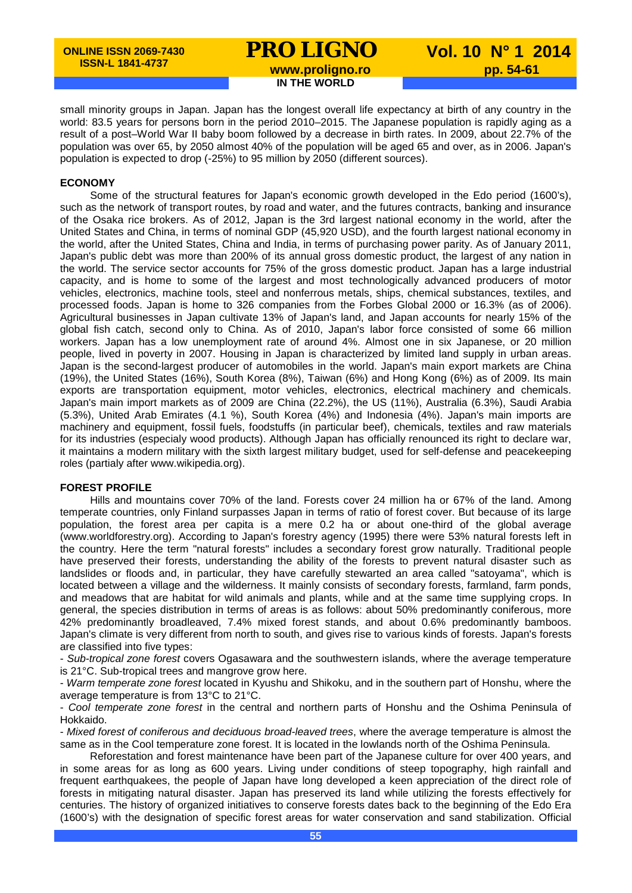## **PRO LIGNO** Vol. 10 N° 1 2014<br>www.proligno.ro pp. 54-61 **IN THE WORLD**

small minority groups in Japan. Japan has the longest overall life expectancy at birth of any country in the world: 83.5 years for persons born in the period 2010–2015. The Japanese population is rapidly aging as a result of a post–World War II baby boom followed by a decrease in birth rates. In 2009, about 22.7% of the population was over 65, by 2050 almost 40% of the population will be aged 65 and over, as in 2006. Japan's population is expected to drop (-25%) to 95 million by 2050 (different sources).

#### **ECONOMY**

Some of the structural features for Japan's economic growth developed in the Edo period (1600's), such as the network of transport routes, by road and water, and the futures contracts, banking and insurance of the Osaka rice brokers. As of 2012, Japan is the 3rd largest national economy in the world, after the United States and China, in terms of nominal GDP (45,920 USD), and the fourth largest national economy in the world, after the United States, China and India, in terms of purchasing power parity. As of January 2011, Japan's public debt was more than 200% of its annual gross domestic product, the largest of any nation in the world. The service sector accounts for 75% of the gross domestic product. Japan has a large industrial capacity, and is home to some of the largest and most technologically advanced producers of motor vehicles, electronics, machine tools, steel and nonferrous metals, ships, chemical substances, textiles, and processed foods. Japan is home to 326 companies from the Forbes Global 2000 or 16.3% (as of 2006). Agricultural businesses in Japan cultivate 13% of Japan's land, and Japan accounts for nearly 15% of the global fish catch, second only to China. As of 2010, Japan's labor force consisted of some 66 million workers. Japan has a low unemployment rate of around 4%. Almost one in six Japanese, or 20 million people, lived in poverty in 2007. Housing in Japan is characterized by limited land supply in urban areas. Japan is the second-largest producer of automobiles in the world. Japan's main export markets are China (19%), the United States (16%), South Korea (8%), Taiwan (6%) and Hong Kong (6%) as of 2009. Its main exports are transportation equipment, motor vehicles, electronics, electrical machinery and chemicals. Japan's main import markets as of 2009 are China (22.2%), the US (11%), Australia (6.3%), Saudi Arabia (5.3%), United Arab Emirates (4.1 %), South Korea (4%) and Indonesia (4%). Japan's main imports are machinery and equipment, fossil fuels, foodstuffs (in particular beef), chemicals, textiles and raw materials for its industries (especialy wood products). Although Japan has officially renounced its right to declare war, it maintains a modern military with the sixth largest military budget, used for self-defense and peacekeeping roles (partialy after www.wikipedia.org).

#### **FOREST PROFILE**

Hills and mountains cover 70% of the land. Forests cover 24 million ha or 67% of the land. Among temperate countries, only Finland surpasses Japan in terms of ratio of forest cover. But because of its large population, the forest area per capita is a mere 0.2 ha or about one-third of the global average (www.worldforestry.org). According to Japan's forestry agency (1995) there were 53% natural forests left in the country. Here the term "natural forests" includes a secondary forest grow naturally. Traditional people have preserved their forests, understanding the ability of the forests to prevent natural disaster such as landslides or floods and, in particular, they have carefully stewarted an area called "satoyama", which is located between a village and the wilderness. It mainly consists of secondary forests, farmland, farm ponds, and meadows that are habitat for wild animals and plants, while and at the same time supplying crops. In general, the species distribution in terms of areas is as follows: about 50% predominantly coniferous, more 42% predominantly broadleaved, 7.4% mixed forest stands, and about 0.6% predominantly bamboos. Japan's climate is very different from north to south, and gives rise to various kinds of forests. Japan's forests are classified into five types:

- *Sub-tropical zone forest* covers Ogasawara and the southwestern islands, where the average temperature is 21°C. Sub-tropical trees and mangrove grow here.

- *Warm temperate zone forest* located in Kyushu and Shikoku, and in the southern part of Honshu, where the average temperature is from 13°C to 21°C.

- *Cool temperate zone forest* in the central and northern parts of Honshu and the Oshima Peninsula of Hokkaido.

- *Mixed forest of coniferous and deciduous broad-leaved trees*, where the average temperature is almost the same as in the Cool temperature zone forest. It is located in the lowlands north of the Oshima Peninsula.

Reforestation and forest maintenance have been part of the Japanese culture for over 400 years, and in some areas for as long as 600 years. Living under conditions of steep topography, high rainfall and frequent earthquakees, the people of Japan have long developed a keen appreciation of the direct role of forests in mitigating natural disaster. Japan has preserved its land while utilizing the forests effectively for centuries. The history of organized initiatives to conserve forests dates back to the beginning of the Edo Era (1600's) with the designation of specific forest areas for water conservation and sand stabilization. Official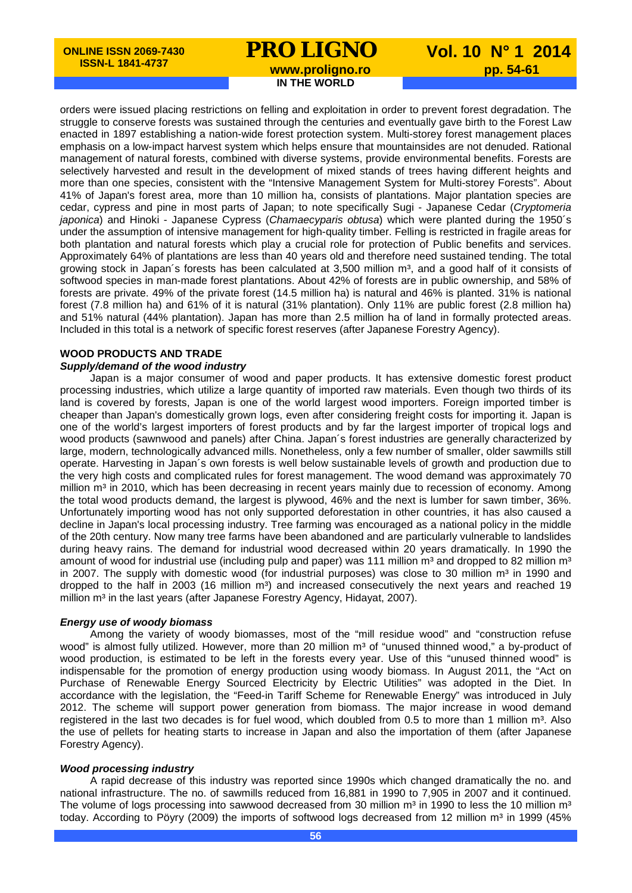## **PRO LIGNO** Vol. 10 N° 1 2014<br>www.proligno.ro pp. 54-61

**IN THE WORLD**

orders were issued placing restrictions on felling and exploitation in order to prevent forest degradation. The struggle to conserve forests was sustained through the centuries and eventually gave birth to the Forest Law enacted in 1897 establishing a nation-wide forest protection system. Multi-storey forest management places emphasis on a low-impact harvest system which helps ensure that mountainsides are not denuded. Rational management of natural forests, combined with diverse systems, provide environmental benefits. Forests are selectively harvested and result in the development of mixed stands of trees having different heights and more than one species, consistent with the "Intensive Management System for Multi-storey Forests". About 41% of Japan's forest area, more than 10 million ha, consists of plantations. Major plantation species are cedar, cypress and pine in most parts of Japan; to note specifically Sugi - Japanese Cedar (*Cryptomeria japonica*) and Hinoki - Japanese Cypress (*Chamaecyparis obtusa*) which were planted during the 1950´s under the assumption of intensive management for high-quality timber. Felling is restricted in fragile areas for both plantation and natural forests which play a crucial role for protection of Public benefits and services. Approximately 64% of plantations are less than 40 years old and therefore need sustained tending. The total growing stock in Japan's forests has been calculated at 3,500 million  $m^3$ , and a good half of it consists of softwood species in man-made forest plantations. About 42% of forests are in public ownership, and 58% of forests are private. 49% of the private forest (14.5 million ha) is natural and 46% is planted. 31% is national forest (7.8 million ha) and 61% of it is natural (31% plantation). Only 11% are public forest (2.8 million ha) and 51% natural (44% plantation). Japan has more than 2.5 million ha of land in formally protected areas. Included in this total is a network of specific forest reserves (after Japanese Forestry Agency).

### **WOOD PRODUCTS AND TRADE**

#### *Supply/demand of the wood industry*

Japan is a major consumer of wood and paper products. It has extensive domestic forest product processing industries, which utilize a large quantity of imported raw materials. Even though two thirds of its land is covered by forests, Japan is one of the world largest wood importers. Foreign imported timber is cheaper than Japan's domestically grown logs, even after considering freight costs for importing it. Japan is one of the world's largest importers of forest products and by far the largest importer of tropical logs and wood products (sawnwood and panels) after China. Japan´s forest industries are generally characterized by large, modern, technologically advanced mills. Nonetheless, only a few number of smaller, older sawmills still operate. Harvesting in Japan´s own forests is well below sustainable levels of growth and production due to the very high costs and complicated rules for forest management. The wood demand was approximately 70 million m<sup>3</sup> in 2010, which has been decreasing in recent years mainly due to recession of economy. Among the total wood products demand, the largest is plywood, 46% and the next is lumber for sawn timber, 36%. Unfortunately importing wood has not only supported deforestation in other countries, it has also caused a decline in Japan's local processing industry. Tree farming was encouraged as a national policy in the middle of the 20th century. Now many tree farms have been abandoned and are particularly vulnerable to landslides during heavy rains. The demand for industrial wood decreased within 20 years dramatically. In 1990 the amount of wood for industrial use (including pulp and paper) was 111 million  $m<sup>3</sup>$  and dropped to 82 million  $m<sup>3</sup>$ in 2007. The supply with domestic wood (for industrial purposes) was close to 30 million  $m<sup>3</sup>$  in 1990 and dropped to the half in 2003 (16 million  $m^3$ ) and increased consecutively the next years and reached 19 million m<sup>3</sup> in the last years (after Japanese Forestry Agency, Hidayat, 2007).

#### *Energy use of woody biomass*

Among the variety of woody biomasses, most of the "mill residue wood" and "construction refuse wood" is almost fully utilized. However, more than 20 million m<sup>3</sup> of "unused thinned wood," a by-product of wood production, is estimated to be left in the forests every year. Use of this "unused thinned wood" is indispensable for the promotion of energy production using woody biomass. In August 2011, the "Act on Purchase of Renewable Energy Sourced Electricity by Electric Utilities" was adopted in the Diet. In accordance with the legislation, the "Feed-in Tariff Scheme for Renewable Energy" was introduced in July 2012. The scheme will support power generation from biomass. The major increase in wood demand registered in the last two decades is for fuel wood, which doubled from 0.5 to more than 1 million m<sup>3</sup>. Also the use of pellets for heating starts to increase in Japan and also the importation of them (after Japanese Forestry Agency).

#### *Wood processing industry*

A rapid decrease of this industry was reported since 1990s which changed dramatically the no. and national infrastructure. The no. of sawmills reduced from 16,881 in 1990 to 7,905 in 2007 and it continued. The volume of logs processing into sawwood decreased from 30 million  $m<sup>3</sup>$  in 1990 to less the 10 million  $m<sup>3</sup>$ today. According to Pöyry (2009) the imports of softwood logs decreased from 12 million m<sup>3</sup> in 1999 (45%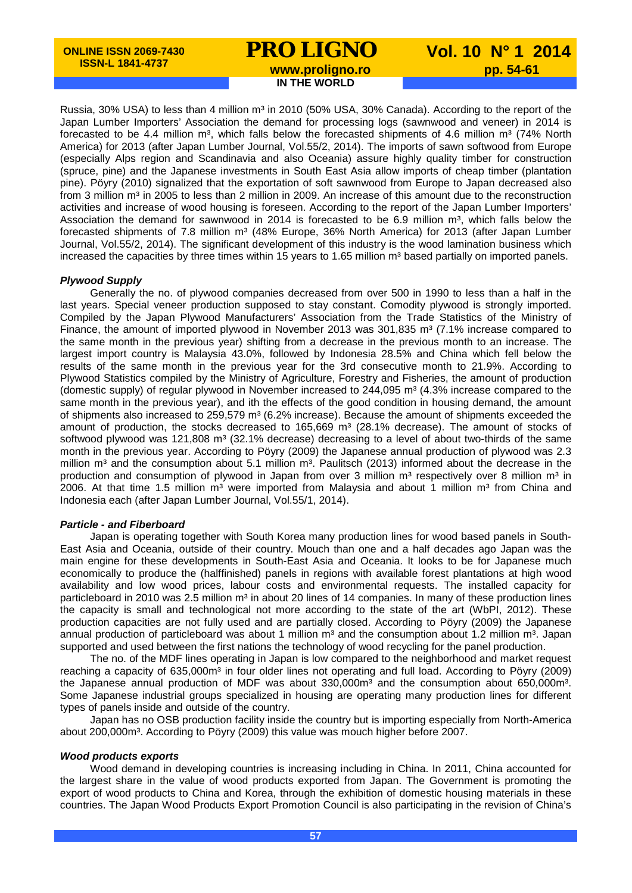# **PRO LIGNO** Vol. 10 N° 1 2014<br>www.proligno.ro pp. 54-61

**IN THE WORLD**

Russia, 30% USA) to less than 4 million m<sup>3</sup> in 2010 (50% USA, 30% Canada). According to the report of the Japan Lumber Importers' Association the demand for processing logs (sawnwood and veneer) in 2014 is forecasted to be 4.4 million  $m^3$ , which falls below the forecasted shipments of 4.6 million  $m^3$  (74% North America) for 2013 (after Japan Lumber Journal, Vol.55/2, 2014). The imports of sawn softwood from Europe (especially Alps region and Scandinavia and also Oceania) assure highly quality timber for construction (spruce, pine) and the Japanese investments in South East Asia allow imports of cheap timber (plantation pine). Pöyry (2010) signalized that the exportation of soft sawnwood from Europe to Japan decreased also from 3 million m<sup>3</sup> in 2005 to less than 2 million in 2009. An increase of this amount due to the reconstruction activities and increase of wood housing is foreseen. According to the report of the Japan Lumber Importers' Association the demand for sawnwood in 2014 is forecasted to be 6.9 million  $m^3$ , which falls below the forecasted shipments of 7.8 million m<sup>3</sup> (48% Europe, 36% North America) for 2013 (after Japan Lumber Journal, Vol.55/2, 2014). The significant development of this industry is the wood lamination business which increased the capacities by three times within 15 years to 1.65 million  $m<sup>3</sup>$  based partially on imported panels.

#### *Plywood Supply*

Generally the no. of plywood companies decreased from over 500 in 1990 to less than a half in the last years. Special veneer production supposed to stay constant. Comodity plywood is strongly imported. Compiled by the Japan Plywood Manufacturers' Association from the Trade Statistics of the Ministry of Finance, the amount of imported plywood in November 2013 was 301,835 m<sup>3</sup> (7.1% increase compared to the same month in the previous year) shifting from a decrease in the previous month to an increase. The largest import country is Malaysia 43.0%, followed by Indonesia 28.5% and China which fell below the results of the same month in the previous year for the 3rd consecutive month to 21.9%. According to Plywood Statistics compiled by the Ministry of Agriculture, Forestry and Fisheries, the amount of production (domestic supply) of regular plywood in November increased to  $244,095$  m<sup>3</sup> (4.3% increase compared to the same month in the previous year), and ith the effects of the good condition in housing demand, the amount of shipments also increased to 259,579 m<sup>3</sup> (6.2% increase). Because the amount of shipments exceeded the amount of production, the stocks decreased to  $165,669$  m<sup>3</sup> (28.1% decrease). The amount of stocks of softwood plywood was 121,808 m<sup>3</sup> (32.1% decrease) decreasing to a level of about two-thirds of the same month in the previous year. According to Pöyry (2009) the Japanese annual production of plywood was 2.3 million  $m<sup>3</sup>$  and the consumption about 5.1 million  $m<sup>3</sup>$ . Paulitsch (2013) informed about the decrease in the production and consumption of plywood in Japan from over 3 million  $m<sup>3</sup>$  respectively over 8 million  $m<sup>3</sup>$  in 2006. At that time 1.5 million  $m<sup>3</sup>$  were imported from Malaysia and about 1 million  $m<sup>3</sup>$  from China and Indonesia each (after Japan Lumber Journal, Vol.55/1, 2014).

#### *Particle - and Fiberboard*

Japan is operating together with South Korea many production lines for wood based panels in South-East Asia and Oceania, outside of their country. Mouch than one and a half decades ago Japan was the main engine for these developments in South-East Asia and Oceania. It looks to be for Japanese much economically to produce the (halffinished) panels in regions with available forest plantations at high wood availability and low wood prices, labour costs and environmental requests. The installed capacity for particleboard in 2010 was 2.5 million m<sup>3</sup> in about 20 lines of 14 companies. In many of these production lines the capacity is small and technological not more according to the state of the art (WbPI, 2012). These production capacities are not fully used and are partially closed. According to Pöyry (2009) the Japanese annual production of particleboard was about 1 million  $m^3$  and the consumption about 1.2 million  $m^3$ . Japan supported and used between the first nations the technology of wood recycling for the panel production.

The no. of the MDF lines operating in Japan is low compared to the neighborhood and market request reaching a capacity of 635,000m<sup>3</sup> in four older lines not operating and full load. According to Pöyry (2009) the Japanese annual production of MDF was about  $330,000m^3$  and the consumption about 650,000m<sup>3</sup>. Some Japanese industrial groups specialized in housing are operating many production lines for different types of panels inside and outside of the country.

Japan has no OSB production facility inside the country but is importing especially from North-America about 200,000m³. According to Pöyry (2009) this value was mouch higher before 2007.

#### *Wood products exports*

Wood demand in developing countries is increasing including in China. In 2011, China accounted for the largest share in the value of wood products exported from Japan. The Government is promoting the export of wood products to China and Korea, through the exhibition of domestic housing materials in these countries. The Japan Wood Products Export Promotion Council is also participating in the revision of China's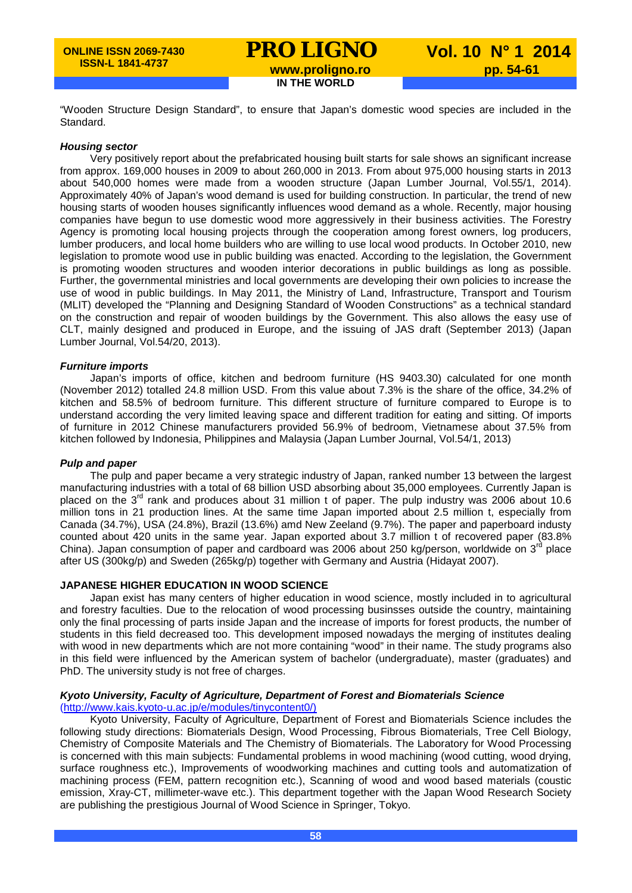## **PRO LIGNO** Vol. 10 N° 1 2014<br>www.proligno.ro pp. 54-61 **IN THE WORLD**

"Wooden Structure Design Standard", to ensure that Japan's domestic wood species are included in the Standard.

#### *Housing sector*

Very positively report about the prefabricated housing built starts for sale shows an significant increase from approx. 169,000 houses in 2009 to about 260,000 in 2013. From about 975,000 housing starts in 2013 about 540,000 homes were made from a wooden structure (Japan Lumber Journal, Vol.55/1, 2014). Approximately 40% of Japan's wood demand is used for building construction. In particular, the trend of new housing starts of wooden houses significantly influences wood demand as a whole. Recently, major housing companies have begun to use domestic wood more aggressively in their business activities. The Forestry Agency is promoting local housing projects through the cooperation among forest owners, log producers, lumber producers, and local home builders who are willing to use local wood products. In October 2010, new legislation to promote wood use in public building was enacted. According to the legislation, the Government is promoting wooden structures and wooden interior decorations in public buildings as long as possible. Further, the governmental ministries and local governments are developing their own policies to increase the use of wood in public buildings. In May 2011, the Ministry of Land, Infrastructure, Transport and Tourism (MLIT) developed the "Planning and Designing Standard of Wooden Constructions" as a technical standard on the construction and repair of wooden buildings by the Government. This also allows the easy use of CLT, mainly designed and produced in Europe, and the issuing of JAS draft (September 2013) (Japan Lumber Journal, Vol.54/20, 2013).

#### *Furniture imports*

Japan's imports of office, kitchen and bedroom furniture (HS 9403.30) calculated for one month (November 2012) totalled 24.8 million USD. From this value about 7.3% is the share of the office, 34.2% of kitchen and 58.5% of bedroom furniture. This different structure of furniture compared to Europe is to understand according the very limited leaving space and different tradition for eating and sitting. Of imports of furniture in 2012 Chinese manufacturers provided 56.9% of bedroom, Vietnamese about 37.5% from kitchen followed by Indonesia, Philippines and Malaysia (Japan Lumber Journal, Vol.54/1, 2013)

#### *Pulp and paper*

The pulp and paper became a very strategic industry of Japan, ranked number 13 between the largest manufacturing industries with a total of 68 billion USD absorbing about 35,000 employees. Currently Japan is placed on the 3<sup>rd</sup> rank and produces about 31 million t of paper. The pulp industry was 2006 about 10.6 million tons in 21 production lines. At the same time Japan imported about 2.5 million t, especially from Canada (34.7%), USA (24.8%), Brazil (13.6%) amd New Zeeland (9.7%). The paper and paperboard industy counted about 420 units in the same year. Japan exported about 3.7 million t of recovered paper (83.8% China). Japan consumption of paper and cardboard was 2006 about 250 kg/person, worldwide on  $3^{\text{rd}}$  place after US (300kg/p) and Sweden (265kg/p) together with Germany and Austria (Hidayat 2007).

#### **JAPANESE HIGHER EDUCATION IN WOOD SCIENCE**

Japan exist has many centers of higher education in wood science, mostly included in to agricultural and forestry faculties. Due to the relocation of wood processing businsses outside the country, maintaining only the final processing of parts inside Japan and the increase of imports for forest products, the number of students in this field decreased too. This development imposed nowadays the merging of institutes dealing with wood in new departments which are not more containing "wood" in their name. The study programs also in this field were influenced by the American system of bachelor (undergraduate), master (graduates) and PhD. The university study is not free of charges.

#### *Kyoto University, Faculty of Agriculture, Department of Forest and Biomaterials Science* [\(http://www.kais.kyoto-u.ac.jp/e/modules/tinycontent0/\)](http://www.kais.kyoto-u.ac.jp/e/modules/tinycontent0/)

Kyoto University, Faculty of Agriculture, Department of Forest and Biomaterials Science includes the following study directions: Biomaterials Design, Wood Processing, Fibrous Biomaterials, Tree Cell Biology, Chemistry of Composite Materials and The Chemistry of Biomaterials. The Laboratory for Wood Processing is concerned with this main subjects: Fundamental problems in wood machining (wood cutting, wood drying, surface roughness etc.), Improvements of woodworking machines and cutting tools and automatization of machining process (FEM, pattern recognition etc.), Scanning of wood and wood based materials (coustic emission, Xray-CT, millimeter-wave etc.). This department together with the Japan Wood Research Society are publishing the prestigious Journal of Wood Science in Springer, Tokyo.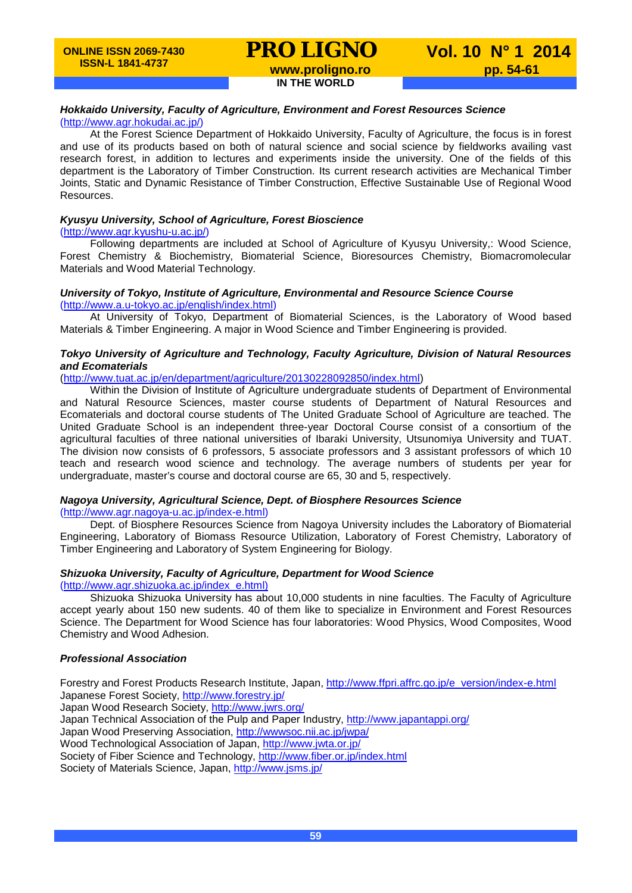# **PRO LIGNO** Vol. 10 N° 1 2014<br>www.proligno.ro pp. 54-61

**IN THE WORLD**

### *Hokkaido University, Faculty of Agriculture, Environment and Forest Resources Science*

#### [\(http://www.agr.hokudai.ac.jp/\)](http://www.agr.hokudai.ac.jp/)

At the Forest Science Department of Hokkaido University, Faculty of Agriculture, the focus is in forest and use of its products based on both of natural science and social science by fieldworks availing vast research forest, in addition to lectures and experiments inside the university. One of the fields of this department is the Laboratory of Timber Construction. Its current research activities are Mechanical Timber Joints, Static and Dynamic Resistance of Timber Construction, Effective Sustainable Use of Regional Wood Resources.

#### *Kyusyu University, School of Agriculture, Forest Bioscience*

[\(http://www.agr.kyushu-u.ac.jp/\)](http://www.agr.kyushu-u.ac.jp/)

Following departments are included at School of Agriculture of Kyusyu University,: Wood Science, Forest Chemistry & Biochemistry, Biomaterial Science, Bioresources Chemistry, Biomacromolecular Materials and Wood Material Technology.

#### *University of Tokyo, Institute of Agriculture, Environmental and Resource Science Course* [\(http://www.a.u-tokyo.ac.jp/english/index.html\)](http://www.a.u-tokyo.ac.jp/english/index.html)

At University of Tokyo, Department of Biomaterial Sciences, is the Laboratory of Wood based Materials & Timber Engineering. A major in Wood Science and Timber Engineering is provided.

#### *Tokyo University of Agriculture and Technology, Faculty Agriculture, Division of Natural Resources and Ecomaterials*

[\(http://www.tuat.ac.jp/en/department/agriculture/20130228092850/index.html\)](http://www.tuat.ac.jp/en/department/agriculture/20130228092850/index.html)

Within the Division of Institute of Agriculture undergraduate students of Department of Environmental and Natural Resource Sciences, master course students of Department of Natural Resources and Ecomaterials and doctoral course students of The United Graduate School of Agriculture are teached. The United Graduate School is an independent three-year Doctoral Course consist of a consortium of the agricultural faculties of three national universities of Ibaraki University, Utsunomiya University and TUAT. The division now consists of 6 professors, 5 associate professors and 3 assistant professors of which 10 teach and research wood science and technology. The average numbers of students per year for undergraduate, master's course and doctoral course are 65, 30 and 5, respectively.

#### *Nagoya University, Agricultural Science, Dept. of Biosphere Resources Science*

[\(http://www.agr.nagoya-u.ac.jp/index-e.html\)](http://www.agr.nagoya-u.ac.jp/index-e.html)

Dept. of Biosphere Resources Science from Nagoya University includes the Laboratory of Biomaterial Engineering, Laboratory of Biomass Resource Utilization, Laboratory of Forest Chemistry, Laboratory of Timber Engineering and Laboratory of System Engineering for Biology.

### *Shizuoka University, Faculty of Agriculture, Department for Wood Science*

[\(http://www.agr.shizuoka.ac.jp/index\\_e.html\)](http://www.agr.shizuoka.ac.jp/index_e.html)

Shizuoka Shizuoka University has about 10,000 students in nine faculties. The Faculty of Agriculture accept yearly about 150 new sudents. 40 of them like to specialize in Environment and Forest Resources Science. The Department for Wood Science has four laboratories: Wood Physics, Wood Composites, Wood Chemistry and Wood Adhesion.

#### *Professional Association*

Forestry and Forest Products Research Institute, Japan, [http://www.ffpri.affrc.go.jp/e\\_version/index-e.html](http://www.ffpri.affrc.go.jp/e_version/index-e.html) Japanese Forest Society,<http://www.forestry.jp/> Japan Wood Research Society,<http://www.jwrs.org/> Japan Technical Association of the Pulp and Paper Industry,<http://www.japantappi.org/> Japan Wood Preserving Association,<http://wwwsoc.nii.ac.jp/jwpa/> Wood Technological Association of Japan,<http://www.jwta.or.jp/> Society of Fiber Science and Technology,<http://www.fiber.or.jp/index.html> Society of Materials Science, Japan,<http://www.jsms.jp/>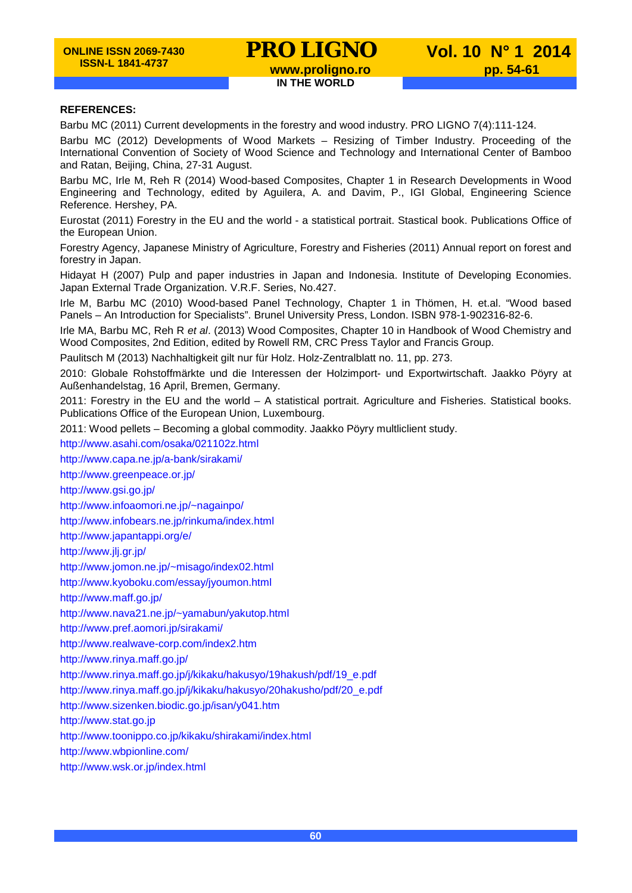## **PRO LIGNO** Vol. 10 N° 1 2014<br>www.proligno.ro pp. 54-61 **IN THE WORLD**

#### **REFERENCES:**

Barbu MC (2011) Current developments in the forestry and wood industry. PRO LIGNO 7(4):111-124.

Barbu MC (2012) Developments of Wood Markets – Resizing of Timber Industry. Proceeding of the International Convention of Society of Wood Science and Technology and International Center of Bamboo and Ratan, Beijing, China, 27-31 August.

Barbu MC, Irle M, Reh R (2014) Wood-based Composites, Chapter 1 in Research Developments in Wood Engineering and Technology, edited by Aguilera, A. and Davim, P., IGI Global, Engineering Science Reference. Hershey, PA.

Eurostat (2011) Forestry in the EU and the world - a statistical portrait. Stastical book. Publications Office of the European Union.

Forestry Agency, Japanese Ministry of Agriculture, Forestry and Fisheries (2011) Annual report on forest and forestry in Japan.

Hidayat H (2007) Pulp and paper industries in Japan and Indonesia. Institute of Developing Economies. Japan External Trade Organization. V.R.F. Series, No.427.

Irle M, Barbu MC (2010) Wood-based Panel Technology, Chapter 1 in Thömen, H. et.al. "Wood based Panels – An Introduction for Specialists". Brunel University Press, London. ISBN 978-1-902316-82-6.

Irle MA, Barbu MC, Reh R *et al*. (2013) Wood Composites, Chapter 10 in Handbook of Wood Chemistry and Wood Composites, 2nd Edition, edited by Rowell RM, CRC Press Taylor and Francis Group.

Paulitsch M (2013) Nachhaltigkeit gilt nur für Holz. Holz-Zentralblatt no. 11, pp. 273.

2010: Globale Rohstoffmärkte und die Interessen der Holzimport- und Exportwirtschaft. Jaakko Pöyry at Außenhandelstag, 16 April, Bremen, Germany.

2011: Forestry in the EU and the world – A statistical portrait. Agriculture and Fisheries. Statistical books. Publications Office of the European Union, Luxembourg.

2011: Wood pellets – Becoming a global commodity. Jaakko Pöyry multliclient study.

<http://www.asahi.com/osaka/021102z.html>

<http://www.capa.ne.jp/a-bank/sirakami/>

<http://www.greenpeace.or.jp/>

<http://www.gsi.go.jp/>

<http://www.infoaomori.ne.jp/~nagainpo/>

<http://www.infobears.ne.jp/rinkuma/index.html>

<http://www.japantappi.org/e/>

http://www.jlj.gr.jp/

<http://www.jomon.ne.jp/~misago/index02.html>

<http://www.kyoboku.com/essay/jyoumon.html>

<http://www.maff.go.jp/>

<http://www.nava21.ne.jp/~yamabun/yakutop.html>

<http://www.pref.aomori.jp/sirakami/>

<http://www.realwave-corp.com/index2.htm>

<http://www.rinya.maff.go.jp/>

[http://www.rinya.maff.go.jp/j/kikaku/hakusyo/19hakush/pdf/19\\_e.pdf](http://www.rinya.maff.go.jp/j/kikaku/hakusyo/19hakush/pdf/19_e.pdf)

[http://www.rinya.maff.go.jp/j/kikaku/hakusyo/20hakusho/pdf/20\\_e.pdf](http://www.rinya.maff.go.jp/j/kikaku/hakusyo/20hakusho/pdf/20_e.pdf)

<http://www.sizenken.biodic.go.jp/isan/y041.htm>

[http://www.stat.go.jp](http://www.stat.go.jp/)

<http://www.toonippo.co.jp/kikaku/shirakami/index.html>

http://www.wbpionline.com/

<http://www.wsk.or.jp/index.html>